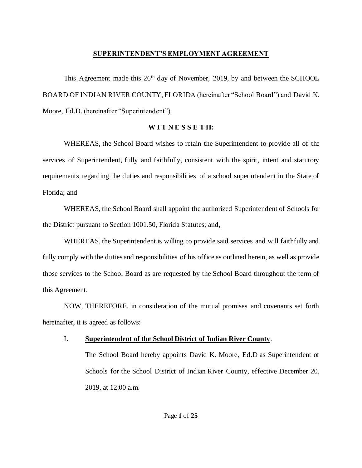### **SUPERINTENDENT'S EMPLOYMENT AGREEMENT**

This Agreement made this  $26<sup>th</sup>$  day of November, 2019, by and between the SCHOOL BOARD OF INDIAN RIVER COUNTY, FLORIDA (hereinafter "School Board") and David K. Moore, Ed.D. (hereinafter "Superintendent").

## **W I T N E S S E T H:**

WHEREAS, the School Board wishes to retain the Superintendent to provide all of the services of Superintendent, fully and faithfully, consistent with the spirit, intent and statutory requirements regarding the duties and responsibilities of a school superintendent in the State of Florida; and

WHEREAS, the School Board shall appoint the authorized Superintendent of Schools for the District pursuant to Section 1001.50, Florida Statutes; and,

WHEREAS, the Superintendent is willing to provide said services and will faithfully and fully comply with the duties and responsibilities of his office as outlined herein, as well as provide those services to the School Board as are requested by the School Board throughout the term of this Agreement.

NOW, THEREFORE, in consideration of the mutual promises and covenants set forth hereinafter, it is agreed as follows:

# I. **Superintendent of the School District of Indian River County**.

The School Board hereby appoints David K. Moore, Ed.D as Superintendent of Schools for the School District of Indian River County, effective December 20, 2019, at 12:00 a.m.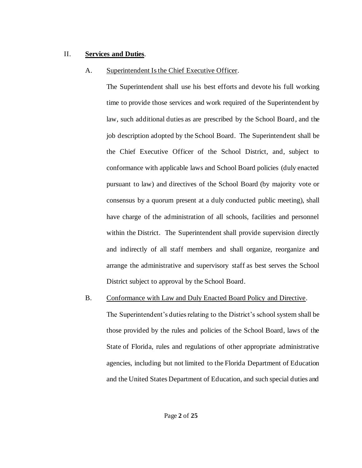## II. **Services and Duties**.

## A. Superintendent Is the Chief Executive Officer.

The Superintendent shall use his best efforts and devote his full working time to provide those services and work required of the Superintendent by law, such additional duties as are prescribed by the School Board, and the job description adopted by the School Board. The Superintendent shall be the Chief Executive Officer of the School District, and, subject to conformance with applicable laws and School Board policies (duly enacted pursuant to law) and directives of the School Board (by majority vote or consensus by a quorum present at a duly conducted public meeting), shall have charge of the administration of all schools, facilities and personnel within the District. The Superintendent shall provide supervision directly and indirectly of all staff members and shall organize, reorganize and arrange the administrative and supervisory staff as best serves the School District subject to approval by the School Board.

B. Conformance with Law and Duly Enacted Board Policy and Directive.

The Superintendent's duties relating to the District's school system shall be those provided by the rules and policies of the School Board, laws of the State of Florida, rules and regulations of other appropriate administrative agencies, including but not limited to the Florida Department of Education and the United States Department of Education, and such special duties and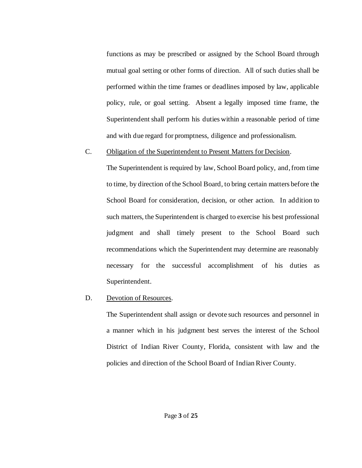functions as may be prescribed or assigned by the School Board through mutual goal setting or other forms of direction. All of such duties shall be performed within the time frames or deadlines imposed by law, applicable policy, rule, or goal setting. Absent a legally imposed time frame, the Superintendent shall perform his duties within a reasonable period of time and with due regard for promptness, diligence and professionalism.

#### C. Obligation of the Superintendent to Present Matters for Decision.

The Superintendent is required by law, School Board policy, and, from time to time, by direction of the School Board, to bring certain matters before the School Board for consideration, decision, or other action. In addition to such matters, the Superintendent is charged to exercise his best professional judgment and shall timely present to the School Board such recommendations which the Superintendent may determine are reasonably necessary for the successful accomplishment of his duties as Superintendent.

### D. Devotion of Resources.

The Superintendent shall assign or devote such resources and personnel in a manner which in his judgment best serves the interest of the School District of Indian River County, Florida, consistent with law and the policies and direction of the School Board of Indian River County.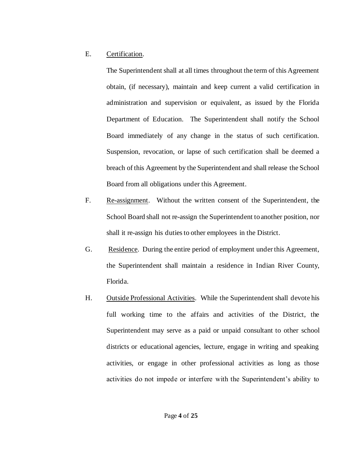### E. Certification.

The Superintendent shall at all times throughout the term of this Agreement obtain, (if necessary), maintain and keep current a valid certification in administration and supervision or equivalent, as issued by the Florida Department of Education. The Superintendent shall notify the School Board immediately of any change in the status of such certification. Suspension, revocation, or lapse of such certification shall be deemed a breach of this Agreement by the Superintendent and shall release the School Board from all obligations under this Agreement.

- F. Re-assignment. Without the written consent of the Superintendent, the School Board shall not re-assign the Superintendent to another position, nor shall it re-assign his duties to other employees in the District.
- G. Residence. During the entire period of employment under this Agreement, the Superintendent shall maintain a residence in Indian River County, Florida.
- H. Outside Professional Activities. While the Superintendent shall devote his full working time to the affairs and activities of the District, the Superintendent may serve as a paid or unpaid consultant to other school districts or educational agencies, lecture, engage in writing and speaking activities, or engage in other professional activities as long as those activities do not impede or interfere with the Superintendent's ability to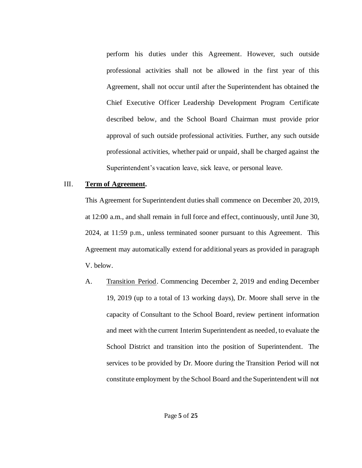perform his duties under this Agreement. However, such outside professional activities shall not be allowed in the first year of this Agreement, shall not occur until after the Superintendent has obtained the Chief Executive Officer Leadership Development Program Certificate described below, and the School Board Chairman must provide prior approval of such outside professional activities. Further, any such outside professional activities, whether paid or unpaid, shall be charged against the Superintendent's vacation leave, sick leave, or personal leave.

#### III. **Term of Agreement.**

This Agreement for Superintendent duties shall commence on December 20, 2019, at 12:00 a.m., and shall remain in full force and effect, continuously, until June 30, 2024, at 11:59 p.m., unless terminated sooner pursuant to this Agreement. This Agreement may automatically extend for additional years as provided in paragraph V. below.

A. Transition Period. Commencing December 2, 2019 and ending December 19, 2019 (up to a total of 13 working days), Dr. Moore shall serve in the capacity of Consultant to the School Board, review pertinent information and meet with the current Interim Superintendent as needed, to evaluate the School District and transition into the position of Superintendent. The services to be provided by Dr. Moore during the Transition Period will not constitute employment by the School Board and the Superintendent will not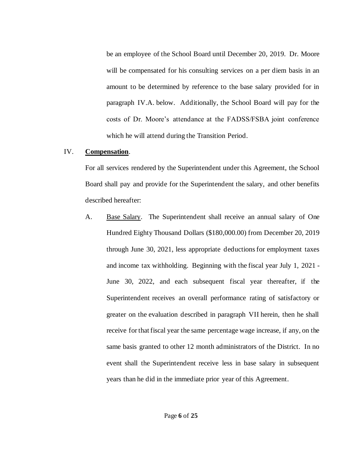be an employee of the School Board until December 20, 2019. Dr. Moore will be compensated for his consulting services on a per diem basis in an amount to be determined by reference to the base salary provided for in paragraph IV.A. below. Additionally, the School Board will pay for the costs of Dr. Moore's attendance at the FADSS/FSBA joint conference which he will attend during the Transition Period.

#### IV. **Compensation**.

For all services rendered by the Superintendent under this Agreement, the School Board shall pay and provide for the Superintendent the salary, and other benefits described hereafter:

A. Base Salary. The Superintendent shall receive an annual salary of One Hundred Eighty Thousand Dollars (\$180,000.00) from December 20, 2019 through June 30, 2021, less appropriate deductions for employment taxes and income tax withholding. Beginning with the fiscal year July 1, 2021 - June 30, 2022, and each subsequent fiscal year thereafter, if the Superintendent receives an overall performance rating of satisfactory or greater on the evaluation described in paragraph VII herein, then he shall receive for that fiscal year the same percentage wage increase, if any, on the same basis granted to other 12 month administrators of the District. In no event shall the Superintendent receive less in base salary in subsequent years than he did in the immediate prior year of this Agreement.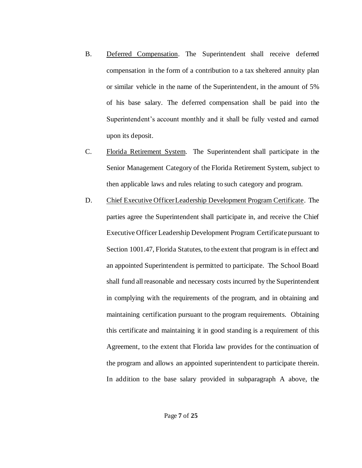- B. Deferred Compensation. The Superintendent shall receive deferred compensation in the form of a contribution to a tax sheltered annuity plan or similar vehicle in the name of the Superintendent, in the amount of 5% of his base salary. The deferred compensation shall be paid into the Superintendent's account monthly and it shall be fully vested and earned upon its deposit.
- C. Florida Retirement System. The Superintendent shall participate in the Senior Management Category of the Florida Retirement System, subject to then applicable laws and rules relating to such category and program.
- D. Chief Executive Officer Leadership Development Program Certificate. The parties agree the Superintendent shall participate in, and receive the Chief Executive Officer Leadership Development Program Certificate pursuant to Section 1001.47, Florida Statutes, to the extent that program is in effect and an appointed Superintendent is permitted to participate. The School Board shall fund all reasonable and necessary costs incurred by the Superintendent in complying with the requirements of the program, and in obtaining and maintaining certification pursuant to the program requirements. Obtaining this certificate and maintaining it in good standing is a requirement of this Agreement, to the extent that Florida law provides for the continuation of the program and allows an appointed superintendent to participate therein. In addition to the base salary provided in subparagraph A above, the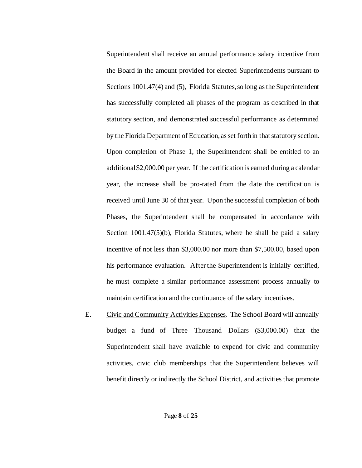Superintendent shall receive an annual performance salary incentive from the Board in the amount provided for elected Superintendents pursuant to Sections 1001.47(4) and (5), Florida Statutes, so long as the Superintendent has successfully completed all phases of the program as described in that statutory section, and demonstrated successful performance as determined by the Florida Department of Education, as set forth in that statutory section. Upon completion of Phase 1, the Superintendent shall be entitled to an additional \$2,000.00 per year. If the certification is earned during a calendar year, the increase shall be pro-rated from the date the certification is received until June 30 of that year. Upon the successful completion of both Phases, the Superintendent shall be compensated in accordance with Section 1001.47(5)(b), Florida Statutes, where he shall be paid a salary incentive of not less than \$3,000.00 nor more than \$7,500.00, based upon his performance evaluation. After the Superintendent is initially certified, he must complete a similar performance assessment process annually to maintain certification and the continuance of the salary incentives.

E. Civic and Community Activities Expenses. The School Board will annually budget a fund of Three Thousand Dollars (\$3,000.00) that the Superintendent shall have available to expend for civic and community activities, civic club memberships that the Superintendent believes will benefit directly or indirectly the School District, and activities that promote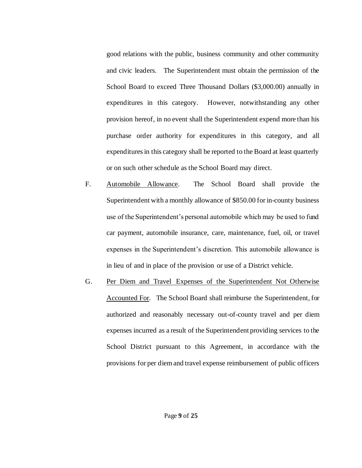good relations with the public, business community and other community and civic leaders. The Superintendent must obtain the permission of the School Board to exceed Three Thousand Dollars (\$3,000.00) annually in expenditures in this category. However, notwithstanding any other provision hereof, in no event shall the Superintendent expend more than his purchase order authority for expenditures in this category, and all expenditures in this category shall be reported to the Board at least quarterly or on such other schedule as the School Board may direct.

- F. Automobile Allowance. The School Board shall provide the Superintendent with a monthly allowance of \$850.00 for in-county business use of the Superintendent's personal automobile which may be used to fund car payment, automobile insurance, care, maintenance, fuel, oil, or travel expenses in the Superintendent's discretion. This automobile allowance is in lieu of and in place of the provision or use of a District vehicle.
- G. Per Diem and Travel Expenses of the Superintendent Not Otherwise Accounted For. The School Board shall reimburse the Superintendent, for authorized and reasonably necessary out-of-county travel and per diem expenses incurred as a result of the Superintendent providing services to the School District pursuant to this Agreement, in accordance with the provisions for per diem and travel expense reimbursement of public officers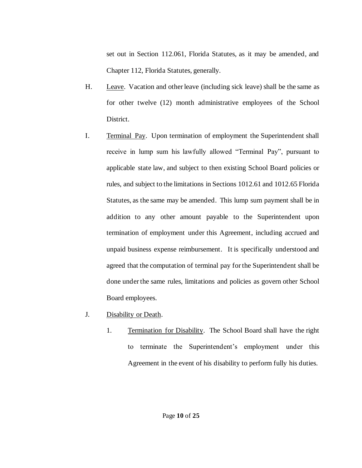set out in Section 112.061, Florida Statutes, as it may be amended, and Chapter 112, Florida Statutes, generally.

- H. Leave. Vacation and other leave (including sick leave) shall be the same as for other twelve (12) month administrative employees of the School District.
- I. Terminal Pay. Upon termination of employment the Superintendent shall receive in lump sum his lawfully allowed "Terminal Pay", pursuant to applicable state law, and subject to then existing School Board policies or rules, and subject to the limitations in Sections 1012.61 and 1012.65 Florida Statutes, as the same may be amended. This lump sum payment shall be in addition to any other amount payable to the Superintendent upon termination of employment under this Agreement, including accrued and unpaid business expense reimbursement. It is specifically understood and agreed that the computation of terminal pay for the Superintendent shall be done under the same rules, limitations and policies as govern other School Board employees.
- J. Disability or Death.
	- 1. Termination for Disability. The School Board shall have the right to terminate the Superintendent's employment under this Agreement in the event of his disability to perform fully his duties.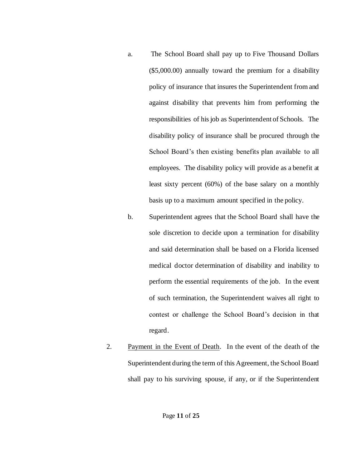- a. The School Board shall pay up to Five Thousand Dollars (\$5,000.00) annually toward the premium for a disability policy of insurance that insures the Superintendent from and against disability that prevents him from performing the responsibilities of his job as Superintendent of Schools. The disability policy of insurance shall be procured through the School Board's then existing benefits plan available to all employees. The disability policy will provide as a benefit at least sixty percent (60%) of the base salary on a monthly basis up to a maximum amount specified in the policy.
- b. Superintendent agrees that the School Board shall have the sole discretion to decide upon a termination for disability and said determination shall be based on a Florida licensed medical doctor determination of disability and inability to perform the essential requirements of the job. In the event of such termination, the Superintendent waives all right to contest or challenge the School Board's decision in that regard.
- 2. Payment in the Event of Death. In the event of the death of the Superintendent during the term of this Agreement, the School Board shall pay to his surviving spouse, if any, or if the Superintendent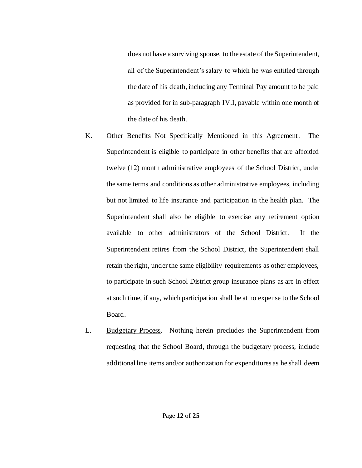does not have a surviving spouse, to the estate of the Superintendent, all of the Superintendent's salary to which he was entitled through the date of his death, including any Terminal Pay amount to be paid as provided for in sub-paragraph IV.I, payable within one month of the date of his death.

- K. Other Benefits Not Specifically Mentioned in this Agreement. The Superintendent is eligible to participate in other benefits that are afforded twelve (12) month administrative employees of the School District, under the same terms and conditions as other administrative employees, including but not limited to life insurance and participation in the health plan. The Superintendent shall also be eligible to exercise any retirement option available to other administrators of the School District. If the Superintendent retires from the School District, the Superintendent shall retain the right, under the same eligibility requirements as other employees, to participate in such School District group insurance plans as are in effect at such time, if any, which participation shall be at no expense to the School Board.
- L. Budgetary Process. Nothing herein precludes the Superintendent from requesting that the School Board, through the budgetary process, include additional line items and/or authorization for expenditures as he shall deem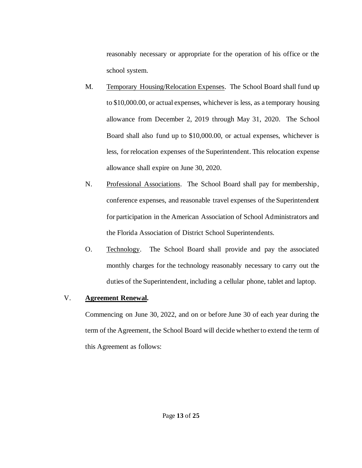reasonably necessary or appropriate for the operation of his office or the school system.

- M. Temporary Housing/Relocation Expenses. The School Board shall fund up to \$10,000.00, or actual expenses, whichever is less, as a temporary housing allowance from December 2, 2019 through May 31, 2020. The School Board shall also fund up to \$10,000.00, or actual expenses, whichever is less, for relocation expenses of the Superintendent. This relocation expense allowance shall expire on June 30, 2020.
- N. Professional Associations. The School Board shall pay for membership, conference expenses, and reasonable travel expenses of the Superintendent for participation in the American Association of School Administrators and the Florida Association of District School Superintendents.
- O. Technology. The School Board shall provide and pay the associated monthly charges for the technology reasonably necessary to carry out the duties of the Superintendent, including a cellular phone, tablet and laptop.

## V. **Agreement Renewal.**

Commencing on June 30, 2022, and on or before June 30 of each year during the term of the Agreement, the School Board will decide whether to extend the term of this Agreement as follows: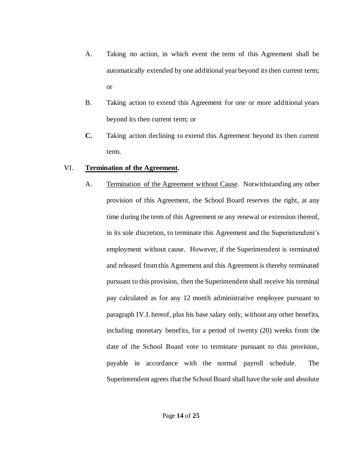- A. Taking no action, in which event the term of this Agreement shall be automatically extended by one additional year beyond its then current term; or
- B. Taking action to extend this Agreement for one or more additional years beyond its then current term; or
- **C.** Taking action declining to extend this Agreement beyond its then current term.

## VI. **Termination of the Agreement.**

A. Termination of the Agreement without Cause. Notwithstanding any other provision of this Agreement, the School Board reserves the right, at any time during the term of this Agreement or any renewal or extension thereof, in its sole discretion, to terminate this Agreement and the Superintendent's employment without cause. However, if the Superintendent is terminated and released from this Agreement and this Agreement is thereby terminated pursuant to this provision, then the Superintendent shall receive his terminal pay calculated as for any 12 month administrative employee pursuant to paragraph IV.I. hereof, plus his base salary only, without any other benefits, including monetary benefits, for a period of twenty (20) weeks from the date of the School Board vote to terminate pursuant to this provision, payable in accordance with the normal payroll schedule. The Superintendent agrees that the School Board shall have the sole and absolute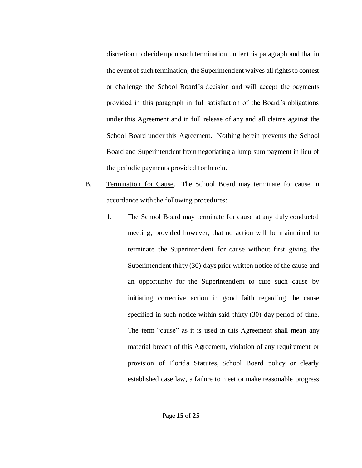discretion to decide upon such termination under this paragraph and that in the event of such termination, the Superintendent waives all rights to contest or challenge the School Board's decision and will accept the payments provided in this paragraph in full satisfaction of the Board's obligations under this Agreement and in full release of any and all claims against the School Board under this Agreement. Nothing herein prevents the School Board and Superintendent from negotiating a lump sum payment in lieu of the periodic payments provided for herein.

- B. Termination for Cause. The School Board may terminate for cause in accordance with the following procedures:
	- 1. The School Board may terminate for cause at any duly conducted meeting, provided however, that no action will be maintained to terminate the Superintendent for cause without first giving the Superintendent thirty (30) days prior written notice of the cause and an opportunity for the Superintendent to cure such cause by initiating corrective action in good faith regarding the cause specified in such notice within said thirty (30) day period of time. The term "cause" as it is used in this Agreement shall mean any material breach of this Agreement, violation of any requirement or provision of Florida Statutes, School Board policy or clearly established case law, a failure to meet or make reasonable progress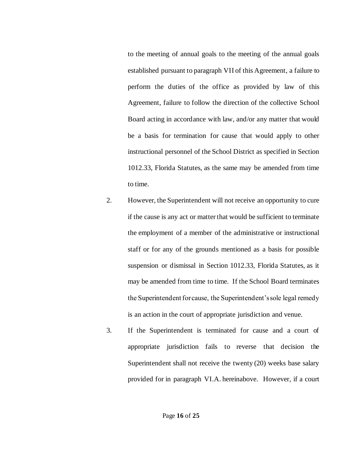to the meeting of annual goals to the meeting of the annual goals established pursuant to paragraph VII of this Agreement, a failure to perform the duties of the office as provided by law of this Agreement, failure to follow the direction of the collective School Board acting in accordance with law, and/or any matter that would be a basis for termination for cause that would apply to other instructional personnel of the School District as specified in Section 1012.33, Florida Statutes, as the same may be amended from time to time.

- 2. However, the Superintendent will not receive an opportunity to cure if the cause is any act or matter that would be sufficient to terminate the employment of a member of the administrative or instructional staff or for any of the grounds mentioned as a basis for possible suspension or dismissal in Section 1012.33, Florida Statutes, as it may be amended from time to time. If the School Board terminates the Superintendent for cause, the Superintendent's sole legal remedy is an action in the court of appropriate jurisdiction and venue.
- 3. If the Superintendent is terminated for cause and a court of appropriate jurisdiction fails to reverse that decision the Superintendent shall not receive the twenty (20) weeks base salary provided for in paragraph VI.A. hereinabove. However, if a court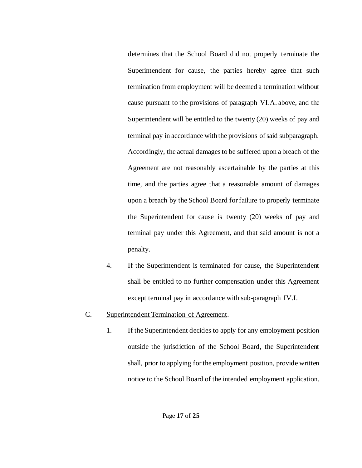determines that the School Board did not properly terminate the Superintendent for cause, the parties hereby agree that such termination from employment will be deemed a termination without cause pursuant to the provisions of paragraph VI.A. above, and the Superintendent will be entitled to the twenty (20) weeks of pay and terminal pay in accordance with the provisions of said subparagraph. Accordingly, the actual damages to be suffered upon a breach of the Agreement are not reasonably ascertainable by the parties at this time, and the parties agree that a reasonable amount of damages upon a breach by the School Board for failure to properly terminate the Superintendent for cause is twenty (20) weeks of pay and terminal pay under this Agreement, and that said amount is not a penalty.

- 4. If the Superintendent is terminated for cause, the Superintendent shall be entitled to no further compensation under this Agreement except terminal pay in accordance with sub-paragraph IV.I.
- C. Superintendent Termination of Agreement.
	- 1. If the Superintendent decides to apply for any employment position outside the jurisdiction of the School Board, the Superintendent shall, prior to applying for the employment position, provide written notice to the School Board of the intended employment application.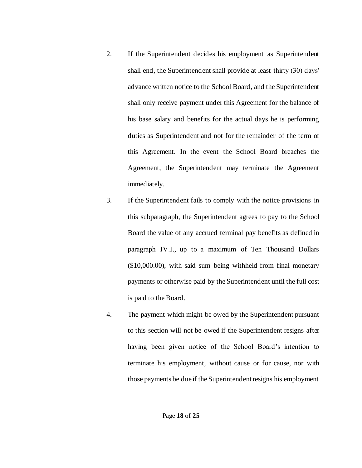- 2. If the Superintendent decides his employment as Superintendent shall end, the Superintendent shall provide at least thirty (30) days' advance written notice to the School Board, and the Superintendent shall only receive payment under this Agreement for the balance of his base salary and benefits for the actual days he is performing duties as Superintendent and not for the remainder of the term of this Agreement. In the event the School Board breaches the Agreement, the Superintendent may terminate the Agreement immediately.
- 3. If the Superintendent fails to comply with the notice provisions in this subparagraph, the Superintendent agrees to pay to the School Board the value of any accrued terminal pay benefits as defined in paragraph IV.I., up to a maximum of Ten Thousand Dollars (\$10,000.00), with said sum being withheld from final monetary payments or otherwise paid by the Superintendent until the full cost is paid to the Board.
- 4. The payment which might be owed by the Superintendent pursuant to this section will not be owed if the Superintendent resigns after having been given notice of the School Board's intention to terminate his employment, without cause or for cause, nor with those payments be due if the Superintendent resigns his employment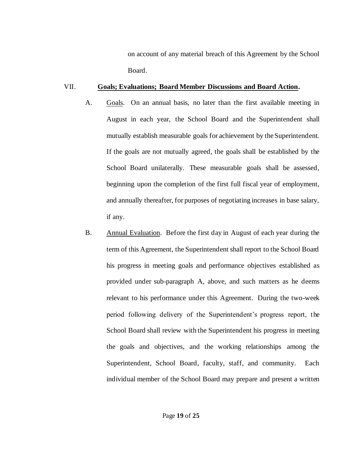on account of any material breach of this Agreement by the School Board.

#### VII. **Goals; Evaluations; Board Member Discussions and Board Action.**

- A. Goals. On an annual basis, no later than the first available meeting in August in each year, the School Board and the Superintendent shall mutually establish measurable goals for achievement by the Superintendent. If the goals are not mutually agreed, the goals shall be established by the School Board unilaterally. These measurable goals shall be assessed, beginning upon the completion of the first full fiscal year of employment, and annually thereafter, for purposes of negotiating increases in base salary, if any.
- B. Annual Evaluation. Before the first day in August of each year during the term of this Agreement, the Superintendent shall report to the School Board his progress in meeting goals and performance objectives established as provided under sub-paragraph A, above, and such matters as he deems relevant to his performance under this Agreement. During the two-week period following delivery of the Superintendent's progress report, the School Board shall review with the Superintendent his progress in meeting the goals and objectives, and the working relationships among the Superintendent, School Board, faculty, staff, and community. Each individual member of the School Board may prepare and present a written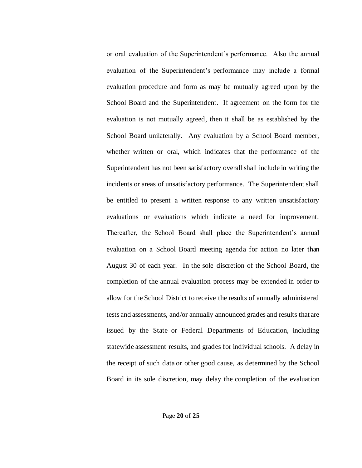or oral evaluation of the Superintendent's performance. Also the annual evaluation of the Superintendent's performance may include a formal evaluation procedure and form as may be mutually agreed upon by the School Board and the Superintendent. If agreement on the form for the evaluation is not mutually agreed, then it shall be as established by the School Board unilaterally. Any evaluation by a School Board member, whether written or oral, which indicates that the performance of the Superintendent has not been satisfactory overall shall include in writing the incidents or areas of unsatisfactory performance. The Superintendent shall be entitled to present a written response to any written unsatisfactory evaluations or evaluations which indicate a need for improvement. Thereafter, the School Board shall place the Superintendent's annual evaluation on a School Board meeting agenda for action no later than August 30 of each year. In the sole discretion of the School Board, the completion of the annual evaluation process may be extended in order to allow for the School District to receive the results of annually administered tests and assessments, and/or annually announced grades and results that are issued by the State or Federal Departments of Education, including statewide assessment results, and grades for individual schools. A delay in the receipt of such data or other good cause, as determined by the School Board in its sole discretion, may delay the completion of the evaluation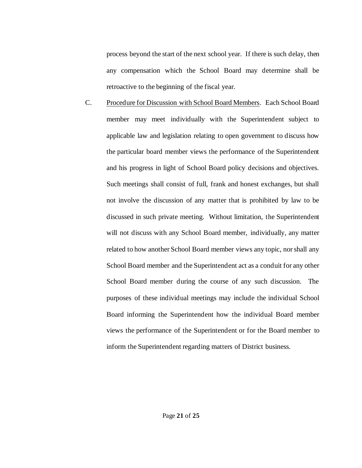process beyond the start of the next school year. If there is such delay, then any compensation which the School Board may determine shall be retroactive to the beginning of the fiscal year.

C. Procedure for Discussion with School Board Members. Each School Board member may meet individually with the Superintendent subject to applicable law and legislation relating to open government to discuss how the particular board member views the performance of the Superintendent and his progress in light of School Board policy decisions and objectives. Such meetings shall consist of full, frank and honest exchanges, but shall not involve the discussion of any matter that is prohibited by law to be discussed in such private meeting. Without limitation, the Superintendent will not discuss with any School Board member, individually, any matter related to how another School Board member views any topic, nor shall any School Board member and the Superintendent act as a conduit for any other School Board member during the course of any such discussion. The purposes of these individual meetings may include the individual School Board informing the Superintendent how the individual Board member views the performance of the Superintendent or for the Board member to inform the Superintendent regarding matters of District business.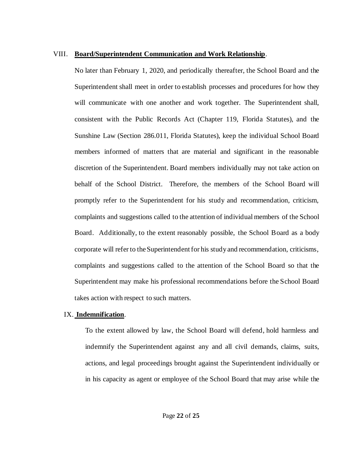#### VIII. **Board/Superintendent Communication and Work Relationship**.

No later than February 1, 2020, and periodically thereafter, the School Board and the Superintendent shall meet in order to establish processes and procedures for how they will communicate with one another and work together. The Superintendent shall, consistent with the Public Records Act (Chapter 119, Florida Statutes), and the Sunshine Law (Section 286.011, Florida Statutes), keep the individual School Board members informed of matters that are material and significant in the reasonable discretion of the Superintendent. Board members individually may not take action on behalf of the School District. Therefore, the members of the School Board will promptly refer to the Superintendent for his study and recommendation, criticism, complaints and suggestions called to the attention of individual members of the School Board. Additionally, to the extent reasonably possible, the School Board as a body corporate will refer to the Superintendent for his study and recommendation, criticisms, complaints and suggestions called to the attention of the School Board so that the Superintendent may make his professional recommendations before the School Board takes action with respect to such matters.

### IX. **Indemnification**.

To the extent allowed by law, the School Board will defend, hold harmless and indemnify the Superintendent against any and all civil demands, claims, suits, actions, and legal proceedings brought against the Superintendent individually or in his capacity as agent or employee of the School Board that may arise while the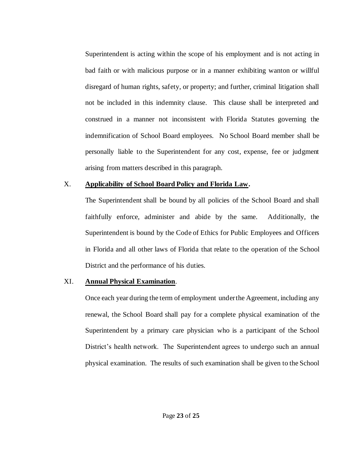Superintendent is acting within the scope of his employment and is not acting in bad faith or with malicious purpose or in a manner exhibiting wanton or willful disregard of human rights, safety, or property; and further, criminal litigation shall not be included in this indemnity clause. This clause shall be interpreted and construed in a manner not inconsistent with Florida Statutes governing the indemnification of School Board employees. No School Board member shall be personally liable to the Superintendent for any cost, expense, fee or judgment arising from matters described in this paragraph.

#### X. **Applicability of School Board Policy and Florida Law.**

The Superintendent shall be bound by all policies of the School Board and shall faithfully enforce, administer and abide by the same. Additionally, the Superintendent is bound by the Code of Ethics for Public Employees and Officers in Florida and all other laws of Florida that relate to the operation of the School District and the performance of his duties.

### XI. **Annual Physical Examination**.

Once each year during the term of employment under the Agreement, including any renewal, the School Board shall pay for a complete physical examination of the Superintendent by a primary care physician who is a participant of the School District's health network. The Superintendent agrees to undergo such an annual physical examination. The results of such examination shall be given to the School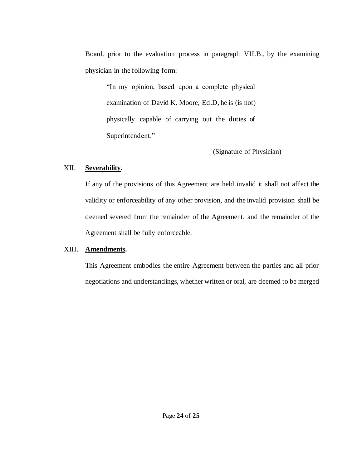Board, prior to the evaluation process in paragraph VII.B., by the examining physician in the following form:

"In my opinion, based upon a complete physical examination of David K. Moore, Ed.D, he is (is not) physically capable of carrying out the duties of Superintendent."

(Signature of Physician)

## XII. **Severability.**

If any of the provisions of this Agreement are held invalid it shall not affect the validity or enforceability of any other provision, and the invalid provision shall be deemed severed from the remainder of the Agreement, and the remainder of the Agreement shall be fully enforceable.

## XIII. **Amendments.**

This Agreement embodies the entire Agreement between the parties and all prior negotiations and understandings, whether written or oral, are deemed to be merged